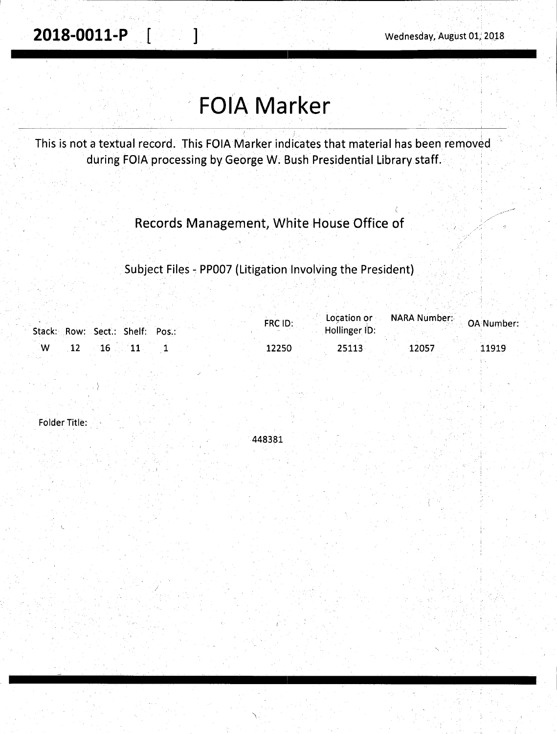**2018-0011-P** [ ] Wednesday, August 01, 2018

# **FOIA Marker**

This is not a textual record. This FOIA Marker indicates that material has been removed during FOIA processing by George W. Bush Presidential Library staff.

Records Management, White House Office of

Subject Files - PP007 (Litigation Involving the President)

|     | Stack: Row: Sect.: Shelf: Pos.: |  | FRC ID: | Hollinger ID: | <b>Location or ADDRA Number: OA Number</b> |       |
|-----|---------------------------------|--|---------|---------------|--------------------------------------------|-------|
| ∴W. | $\sim$ 16 $\sim$ 11             |  | 12250   | 25113         | 12057                                      | 11919 |

Folder Title:

448381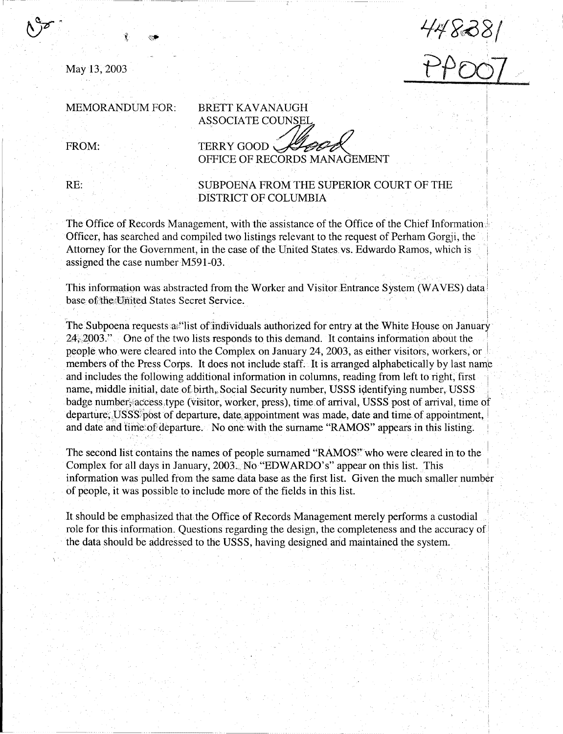May13, 2003

 $17000/$ f>/JfX)1

 $\ddot{\phantom{1}}$ I

#### MEMORANDUM FOR:

FROM:

BRETT KAVANAUGH ASSOCIATE COUNSEL

TERRY GOOD TERRY GOOD *SLOOP* 

RE:

#### SUBPOENA FROM THE SUPERIOR COURT OF THE DISTRICT OF COLUMBIA

The Office of Records Management, with the assistance of the Office of the Chief Information,! Officer, has searched and compiled two listings relevant to the request of Perham Gorgji, the· Attorney for the Government, in the case of the United States vs. Edwardo Ramos, which is assigned the case number M591-03.

This information was abstracted from the Worker and Visitor Entrance System (WAVES) data base of the United States Secret Service.

The Subpoena requests a. flist of individuals authorized for entry at the White House on January 24, 2003." One of the two lists responds to this demand. It contains information about the people who were cleared into the Complex on January 24, 2003, as either visitors, workers, or members of the Press Corps. It does not include staff. It is arranged alphabetically by last name and includes the following additional information in columns, reading from left to right, first name, middle initial, date of birth, Social Security number, USSS identifying number, USSS badge number; access type (visitor, worker, press), time of arrival, USSS post of arrival, time of departure; USSS post of departure, date appointment was made, date and time of appointment, and date and time: of departure. No one with the surname "RAMOS" appears in this listing.

The second list contains the names of people surnamed "RAMOS" who were cleared in to the Complex for all days in January, 2003. No "EDWARDO's" appear on this list. This information was pulled from the same data base as the first list. Given the much smaller number . of people, it was possible to include more of the fields in this list. '

It should be emphasized that the Office of Records Management merely performs a custodial role for this information. Questions regarding the design, the completeness and the accuracy of the data should be addressed to the USSS, having designed and maintained the system.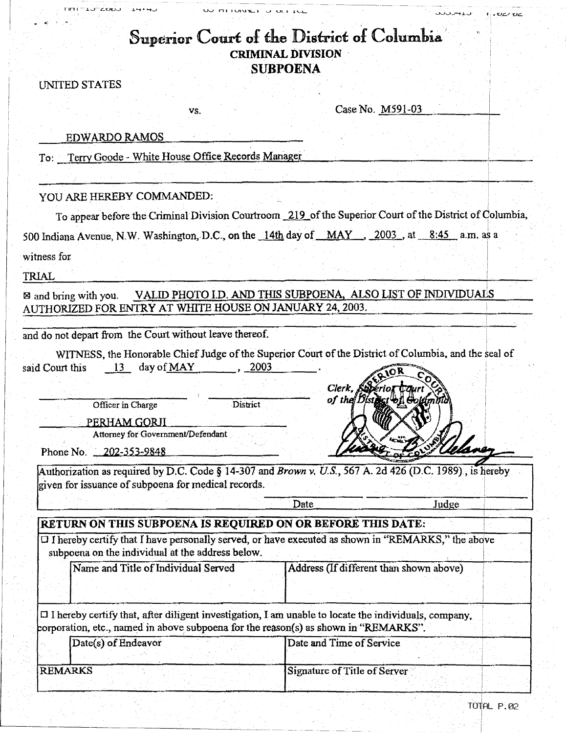| ישט∠−בטיט<br>ユー・ーン<br>UU MITUNILI U ULLIUL                                                                                                                                                         | ان و پارل باب<br>1.02102                                                                                                 |
|----------------------------------------------------------------------------------------------------------------------------------------------------------------------------------------------------|--------------------------------------------------------------------------------------------------------------------------|
|                                                                                                                                                                                                    | Superior Court of the District of Columbia<br><b>CRIMINAL DIVISION</b><br><b>SUBPOENA</b>                                |
| UNITED STATES                                                                                                                                                                                      |                                                                                                                          |
| VS.                                                                                                                                                                                                | Case No. M591-03                                                                                                         |
| <b>EDWARDO RAMOS</b>                                                                                                                                                                               |                                                                                                                          |
| To: Terry Goode - White House Office Records Manager                                                                                                                                               |                                                                                                                          |
|                                                                                                                                                                                                    |                                                                                                                          |
| YOU ARE HEREBY COMMANDED:                                                                                                                                                                          |                                                                                                                          |
|                                                                                                                                                                                                    | To appear before the Criminal Division Courtroom 219 of the Superior Court of the District of Columbia,                  |
| 500 Indiana Avenue, N.W. Washington, D.C., on the 14th day of MAY, 2003, at 8:45 a.m. as a                                                                                                         |                                                                                                                          |
| witness for                                                                                                                                                                                        |                                                                                                                          |
| TRIAL                                                                                                                                                                                              |                                                                                                                          |
| and do not depart from the Court without leave thereof.<br>day of MAY<br>said Court this<br>2003<br>$-13$                                                                                          | WITNESS, the Honorable Chief Judge of the Superior Court of the District of Columbia, and the seal of<br>Clerk, Seperior |
| District<br>Officer in Charge<br>PERHAM GORJI<br>Attorney for Government/Defendant<br>Phone No. 202-353-9848                                                                                       | of the I                                                                                                                 |
| Authorization as required by D.C. Code § 14-307 and Brown v. U.S., 567 A. 2d 426 (D.C. 1989), is hereby                                                                                            |                                                                                                                          |
| given for issuance of subpoena for medical records.                                                                                                                                                |                                                                                                                          |
|                                                                                                                                                                                                    | Date<br>Judge                                                                                                            |
| RETURN ON THIS SUBPOENA IS REQUIRED ON OR BEFORE THIS DATE:                                                                                                                                        |                                                                                                                          |
| O I hereby certify that I have personally served, or have executed as shown in "REMARKS," the above<br>subpoena on the individual at the address below.                                            |                                                                                                                          |
| Name and Title of Individual Served                                                                                                                                                                | Address (If different than shown above)                                                                                  |
|                                                                                                                                                                                                    |                                                                                                                          |
| $\Box$ I hereby certify that, after diligent investigation, I am unable to locate the individuals, company,<br>corporation, etc., named in above subpoena for the reason(s) as shown in "REMARKS". |                                                                                                                          |
| Date(s) of Endeavor                                                                                                                                                                                | Date and Time of Service                                                                                                 |
|                                                                                                                                                                                                    |                                                                                                                          |
| <b>REMARKS</b>                                                                                                                                                                                     | Signature of Title of Server                                                                                             |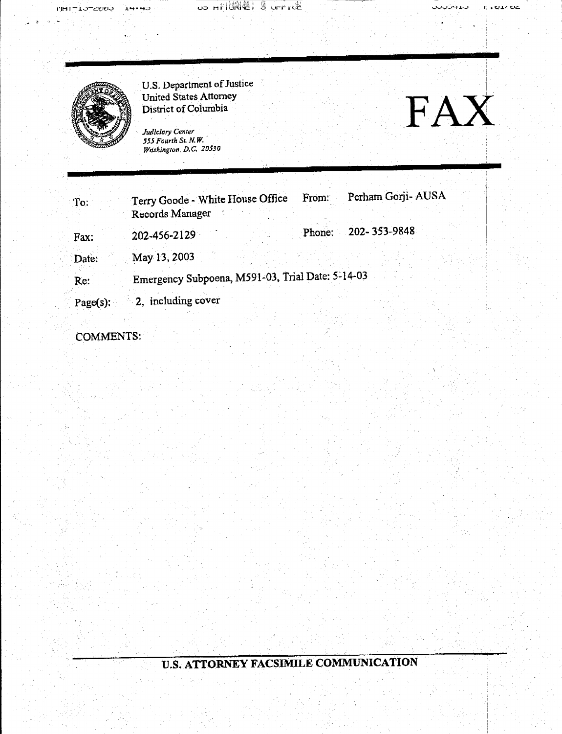US HILLET SUFFICE

ט גי טב

I i



FINT-LO-ZOOD

 $14 - 45$ 

U.S. Department of Justice and Allen and Allen and Allen and Allen and Allen and Allen and Allen and Allen and United States Attorney

*Juc1iclary Center 555 Fourth St. N. W. Washington, D.C. 20530* 



| To:         | Terry Goode - White House Office<br>Records Manager |  | From:  | Perham Gorji- AUSA |  |  |  |  |
|-------------|-----------------------------------------------------|--|--------|--------------------|--|--|--|--|
| Fax:        | 202-456-2129                                        |  | Phone: | 202-353-9848       |  |  |  |  |
| Date:       | May 13, 2003                                        |  |        |                    |  |  |  |  |
| Re:         | Emergency Subpoena, M591-03, Trial Date: 5-14-03    |  |        |                    |  |  |  |  |
| $Page(s)$ : | 2, including cover                                  |  |        |                    |  |  |  |  |

COMMENTS:

### U.S. ATTORNEY FACSIMILE COMMUNICATION